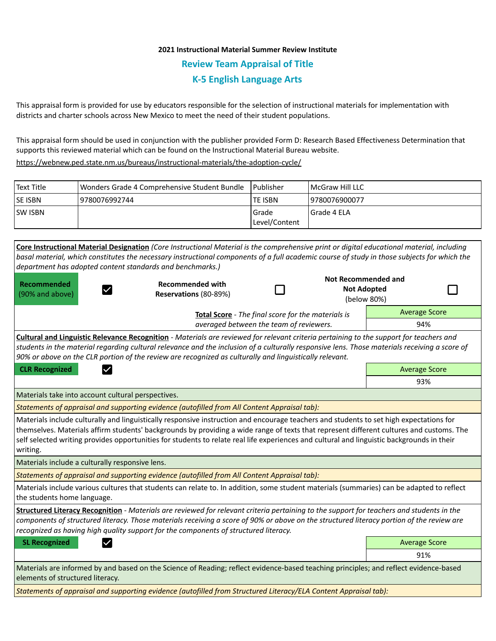## **2021 Instructional Material Summer Review Institute Review Team Appraisal of Title K-5 English Language Arts**

This appraisal form is provided for use by educators responsible for the selection of instructional materials for implementation with districts and charter schools across New Mexico to meet the need of their student populations.

This appraisal form should be used in conjunction with the publisher provided Form D: Research Based Effectiveness Determination that supports this reviewed material which can be found on the Instructional Material Bureau website.

<https://webnew.ped.state.nm.us/bureaus/instructional-materials/the-adoption-cycle/>

| Text Title     | Wonders Grade 4 Comprehensive Student Bundle | l Publisher   | <b>IMcGraw Hill LLC</b> |
|----------------|----------------------------------------------|---------------|-------------------------|
| <b>SE ISBN</b> | 9780076992744                                | lte ISBN      | 19780076900077          |
| <b>SW ISBN</b> |                                              | l Grade       | l Grade 4 ELA           |
|                |                                              | Level/Content |                         |

**Core Instructional Material Designation** *(Core Instructional Material is the comprehensive print or digital educational material, including basal material, which constitutes the necessary instructional components of a full academic course of study in those subjects for which the department has adopted content standards and benchmarks.)* **Not Recommended and Recommended Recommended with**  П **Not Adopted**  П  $\checkmark$ (90% and above) **Reservations** (80-89%) (below 80%) Average Score **Total Score** - *The final score for the materials is averaged between the team of reviewers.* 94% **Cultural and Linguistic Relevance Recognition** - *Materials are reviewed for relevant criteria pertaining to the support for teachers and students in the material regarding cultural relevance and the inclusion of a culturally responsive lens. Those materials receiving a score of 90% or above on the CLR portion of the review are recognized as culturally and linguistically relevant.* **CLR Recognized Average Score Average Score Average Score Average Score Average Score** 93% Materials take into account cultural perspectives. *Statements of appraisal and supporting evidence (autofilled from All Content Appraisal tab):*  Materials include culturally and linguistically responsive instruction and encourage teachers and students to set high expectations for themselves. Materials affirm students' backgrounds by providing a wide range of texts that represent different cultures and customs. The self selected writing provides opportunities for students to relate real life experiences and cultural and linguistic backgrounds in their writing. Materials include a culturally responsive lens. *Statements of appraisal and supporting evidence (autofilled from All Content Appraisal tab):*  Materials include various cultures that students can relate to. In addition, some student materials (summaries) can be adapted to reflect the students home language. **Structured Literacy Recognition** - *Materials are reviewed for relevant criteria pertaining to the support for teachers and students in the components of structured literacy. Those materials receiving a score of 90% or above on the structured literacy portion of the review are recognized as having high quality support for the components of structured literacy.* **SL Recognized Average Score** Average Score and Average Score and Average Score and Average Score and Average Score 91% Materials are informed by and based on the Science of Reading; reflect evidence-based teaching principles; and reflect evidence-based elements of structured literacy.

*Statements of appraisal and supporting evidence (autofilled from Structured Literacy/ELA Content Appraisal tab):*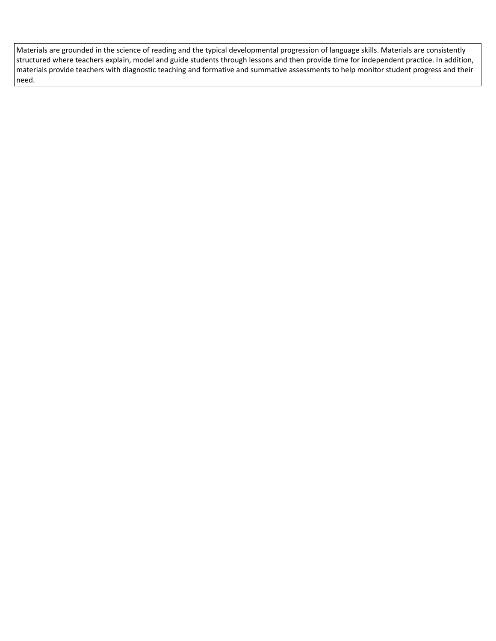Materials are grounded in the science of reading and the typical developmental progression of language skills. Materials are consistently structured where teachers explain, model and guide students through lessons and then provide time for independent practice. In addition, materials provide teachers with diagnostic teaching and formative and summative assessments to help monitor student progress and their need.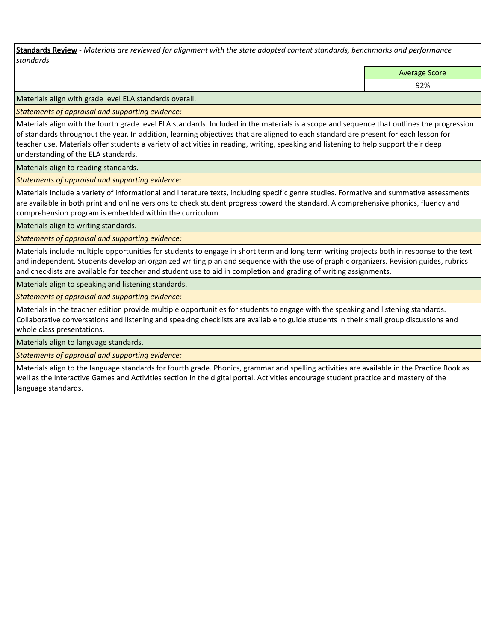**Standards Review** *- Materials are reviewed for alignment with the state adopted content standards, benchmarks and performance standards.*

Average Score

92%

Materials align with grade level ELA standards overall.

*Statements of appraisal and supporting evidence:* 

Materials align with the fourth grade level ELA standards. Included in the materials is a scope and sequence that outlines the progression of standards throughout the year. In addition, learning objectives that are aligned to each standard are present for each lesson for teacher use. Materials offer students a variety of activities in reading, writing, speaking and listening to help support their deep understanding of the ELA standards.

Materials align to reading standards.

*Statements of appraisal and supporting evidence:* 

Materials include a variety of informational and literature texts, including specific genre studies. Formative and summative assessments are available in both print and online versions to check student progress toward the standard. A comprehensive phonics, fluency and comprehension program is embedded within the curriculum.

Materials align to writing standards.

*Statements of appraisal and supporting evidence:* 

Materials include multiple opportunities for students to engage in short term and long term writing projects both in response to the text and independent. Students develop an organized writing plan and sequence with the use of graphic organizers. Revision guides, rubrics and checklists are available for teacher and student use to aid in completion and grading of writing assignments.

Materials align to speaking and listening standards.

*Statements of appraisal and supporting evidence:* 

Materials in the teacher edition provide multiple opportunities for students to engage with the speaking and listening standards. Collaborative conversations and listening and speaking checklists are available to guide students in their small group discussions and whole class presentations.

Materials align to language standards.

*Statements of appraisal and supporting evidence:* 

Materials align to the language standards for fourth grade. Phonics, grammar and spelling activities are available in the Practice Book as well as the Interactive Games and Activities section in the digital portal. Activities encourage student practice and mastery of the language standards.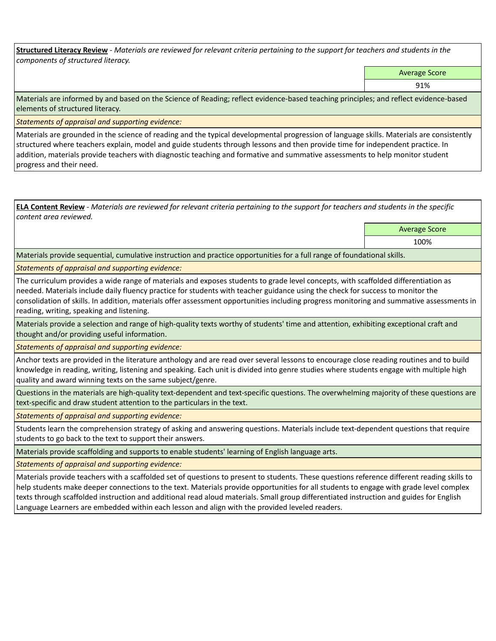**Structured Literacy Review** *- Materials are reviewed for relevant criteria pertaining to the support for teachers and students in the components of structured literacy.*

Average Score

91%

Materials are informed by and based on the Science of Reading; reflect evidence-based teaching principles; and reflect evidence-based elements of structured literacy.

*Statements of appraisal and supporting evidence:*

Materials are grounded in the science of reading and the typical developmental progression of language skills. Materials are consistently structured where teachers explain, model and guide students through lessons and then provide time for independent practice. In addition, materials provide teachers with diagnostic teaching and formative and summative assessments to help monitor student progress and their need.

**ELA Content Review** *- Materials are reviewed for relevant criteria pertaining to the support for teachers and students in the specific content area reviewed.*

Average Score

100%

Materials provide sequential, cumulative instruction and practice opportunities for a full range of foundational skills.

*Statements of appraisal and supporting evidence:* 

The curriculum provides a wide range of materials and exposes students to grade level concepts, with scaffolded differentiation as needed. Materials include daily fluency practice for students with teacher guidance using the check for success to monitor the consolidation of skills. In addition, materials offer assessment opportunities including progress monitoring and summative assessments in reading, writing, speaking and listening.

Materials provide a selection and range of high-quality texts worthy of students' time and attention, exhibiting exceptional craft and thought and/or providing useful information.

*Statements of appraisal and supporting evidence:* 

Anchor texts are provided in the literature anthology and are read over several lessons to encourage close reading routines and to build knowledge in reading, writing, listening and speaking. Each unit is divided into genre studies where students engage with multiple high quality and award winning texts on the same subject/genre.

Questions in the materials are high-quality text-dependent and text-specific questions. The overwhelming majority of these questions are text-specific and draw student attention to the particulars in the text.

*Statements of appraisal and supporting evidence:* 

Students learn the comprehension strategy of asking and answering questions. Materials include text-dependent questions that require students to go back to the text to support their answers.

Materials provide scaffolding and supports to enable students' learning of English language arts.

*Statements of appraisal and supporting evidence:* 

Materials provide teachers with a scaffolded set of questions to present to students. These questions reference different reading skills to help students make deeper connections to the text. Materials provide opportunities for all students to engage with grade level complex texts through scaffolded instruction and additional read aloud materials. Small group differentiated instruction and guides for English Language Learners are embedded within each lesson and align with the provided leveled readers.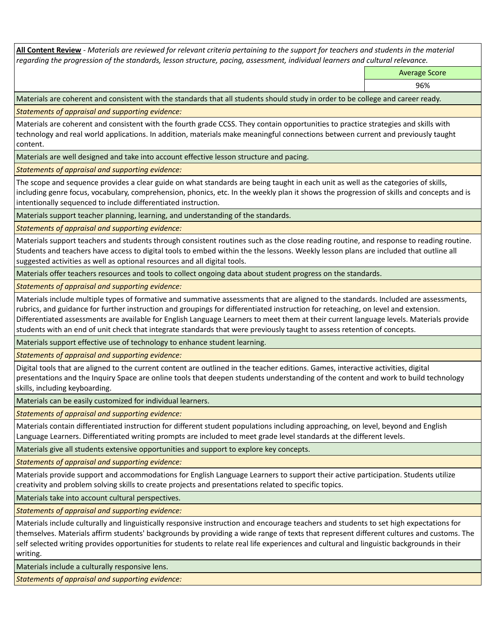**All Content Review** *- Materials are reviewed for relevant criteria pertaining to the support for teachers and students in the material regarding the progression of the standards, lesson structure, pacing, assessment, individual learners and cultural relevance.*

Average Score

96%

Materials are coherent and consistent with the standards that all students should study in order to be college and career ready.

*Statements of appraisal and supporting evidence:*

Materials are coherent and consistent with the fourth grade CCSS. They contain opportunities to practice strategies and skills with technology and real world applications. In addition, materials make meaningful connections between current and previously taught content.

Materials are well designed and take into account effective lesson structure and pacing.

*Statements of appraisal and supporting evidence:*

The scope and sequence provides a clear guide on what standards are being taught in each unit as well as the categories of skills, including genre focus, vocabulary, comprehension, phonics, etc. In the weekly plan it shows the progression of skills and concepts and is intentionally sequenced to include differentiated instruction.

Materials support teacher planning, learning, and understanding of the standards.

*Statements of appraisal and supporting evidence:*

Materials support teachers and students through consistent routines such as the close reading routine, and response to reading routine. Students and teachers have access to digital tools to embed within the the lessons. Weekly lesson plans are included that outline all suggested activities as well as optional resources and all digital tools.

Materials offer teachers resources and tools to collect ongoing data about student progress on the standards.

*Statements of appraisal and supporting evidence:*

Materials include multiple types of formative and summative assessments that are aligned to the standards. Included are assessments, rubrics, and guidance for further instruction and groupings for differentiated instruction for reteaching, on level and extension. Differentiated assessments are available for English Language Learners to meet them at their current language levels. Materials provide students with an end of unit check that integrate standards that were previously taught to assess retention of concepts.

Materials support effective use of technology to enhance student learning.

*Statements of appraisal and supporting evidence:*

Digital tools that are aligned to the current content are outlined in the teacher editions. Games, interactive activities, digital presentations and the Inquiry Space are online tools that deepen students understanding of the content and work to build technology skills, including keyboarding.

Materials can be easily customized for individual learners.

*Statements of appraisal and supporting evidence:* 

Materials contain differentiated instruction for different student populations including approaching, on level, beyond and English Language Learners. Differentiated writing prompts are included to meet grade level standards at the different levels.

Materials give all students extensive opportunities and support to explore key concepts.

*Statements of appraisal and supporting evidence:*

Materials provide support and accommodations for English Language Learners to support their active participation. Students utilize creativity and problem solving skills to create projects and presentations related to specific topics.

Materials take into account cultural perspectives.

*Statements of appraisal and supporting evidence:*

Materials include culturally and linguistically responsive instruction and encourage teachers and students to set high expectations for themselves. Materials affirm students' backgrounds by providing a wide range of texts that represent different cultures and customs. The self selected writing provides opportunities for students to relate real life experiences and cultural and linguistic backgrounds in their writing.

Materials include a culturally responsive lens.

*Statements of appraisal and supporting evidence:*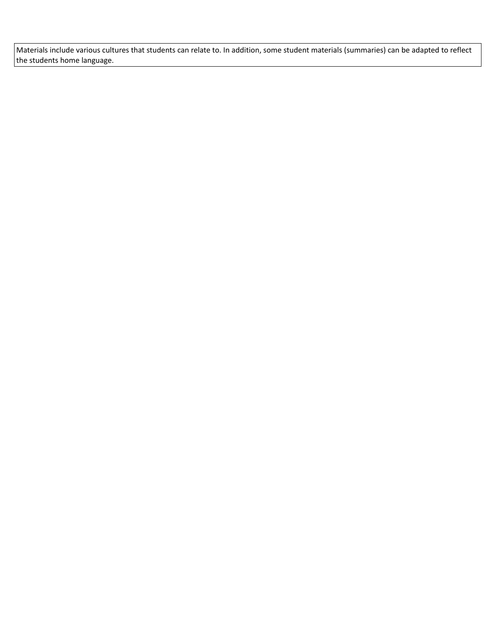Materials include various cultures that students can relate to. In addition, some student materials (summaries) can be adapted to reflect the students home language.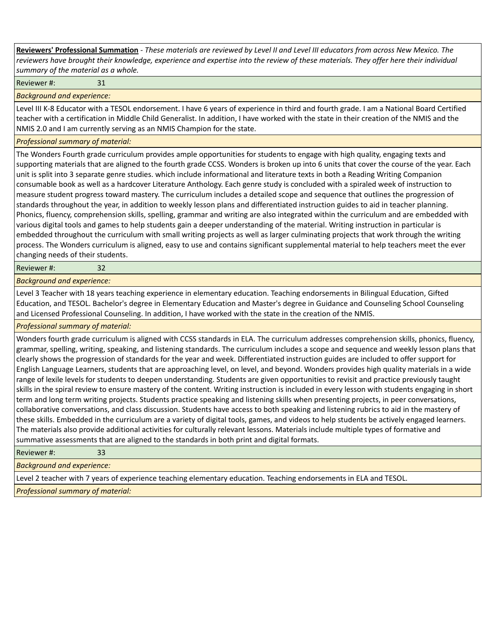**Reviewers' Professional Summation** *- These materials are reviewed by Level II and Level III educators from across New Mexico. The reviewers have brought their knowledge, experience and expertise into the review of these materials. They offer here their individual summary of the material as a whole.*

Reviewer #: 31

*Background and experience:*

Level III K-8 Educator with a TESOL endorsement. I have 6 years of experience in third and fourth grade. I am a National Board Certified teacher with a certification in Middle Child Generalist. In addition, I have worked with the state in their creation of the NMIS and the NMIS 2.0 and I am currently serving as an NMIS Champion for the state.

## *Professional summary of material:*

The Wonders Fourth grade curriculum provides ample opportunities for students to engage with high quality, engaging texts and supporting materials that are aligned to the fourth grade CCSS. Wonders is broken up into 6 units that cover the course of the year. Each unit is split into 3 separate genre studies. which include informational and literature texts in both a Reading Writing Companion consumable book as well as a hardcover Literature Anthology. Each genre study is concluded with a spiraled week of instruction to measure student progress toward mastery. The curriculum includes a detailed scope and sequence that outlines the progression of standards throughout the year, in addition to weekly lesson plans and differentiated instruction guides to aid in teacher planning. Phonics, fluency, comprehension skills, spelling, grammar and writing are also integrated within the curriculum and are embedded with various digital tools and games to help students gain a deeper understanding of the material. Writing instruction in particular is embedded throughout the curriculum with small writing projects as well as larger culminating projects that work through the writing process. The Wonders curriculum is aligned, easy to use and contains significant supplemental material to help teachers meet the ever changing needs of their students.

Reviewer #: 32

*Background and experience:*

Level 3 Teacher with 18 years teaching experience in elementary education. Teaching endorsements in Bilingual Education, Gifted Education, and TESOL. Bachelor's degree in Elementary Education and Master's degree in Guidance and Counseling School Counseling and Licensed Professional Counseling. In addition, I have worked with the state in the creation of the NMIS.

*Professional summary of material:*

Wonders fourth grade curriculum is aligned with CCSS standards in ELA. The curriculum addresses comprehension skills, phonics, fluency, grammar, spelling, writing, speaking, and listening standards. The curriculum includes a scope and sequence and weekly lesson plans that clearly shows the progression of standards for the year and week. Differentiated instruction guides are included to offer support for English Language Learners, students that are approaching level, on level, and beyond. Wonders provides high quality materials in a wide range of lexile levels for students to deepen understanding. Students are given opportunities to revisit and practice previously taught skills in the spiral review to ensure mastery of the content. Writing instruction is included in every lesson with students engaging in short term and long term writing projects. Students practice speaking and listening skills when presenting projects, in peer conversations, collaborative conversations, and class discussion. Students have access to both speaking and listening rubrics to aid in the mastery of these skills. Embedded in the curriculum are a variety of digital tools, games, and videos to help students be actively engaged learners. The materials also provide additional activities for culturally relevant lessons. Materials include multiple types of formative and summative assessments that are aligned to the standards in both print and digital formats.

Reviewer #: 33

*Background and experience:*

Level 2 teacher with 7 years of experience teaching elementary education. Teaching endorsements in ELA and TESOL.

*Professional summary of material:*